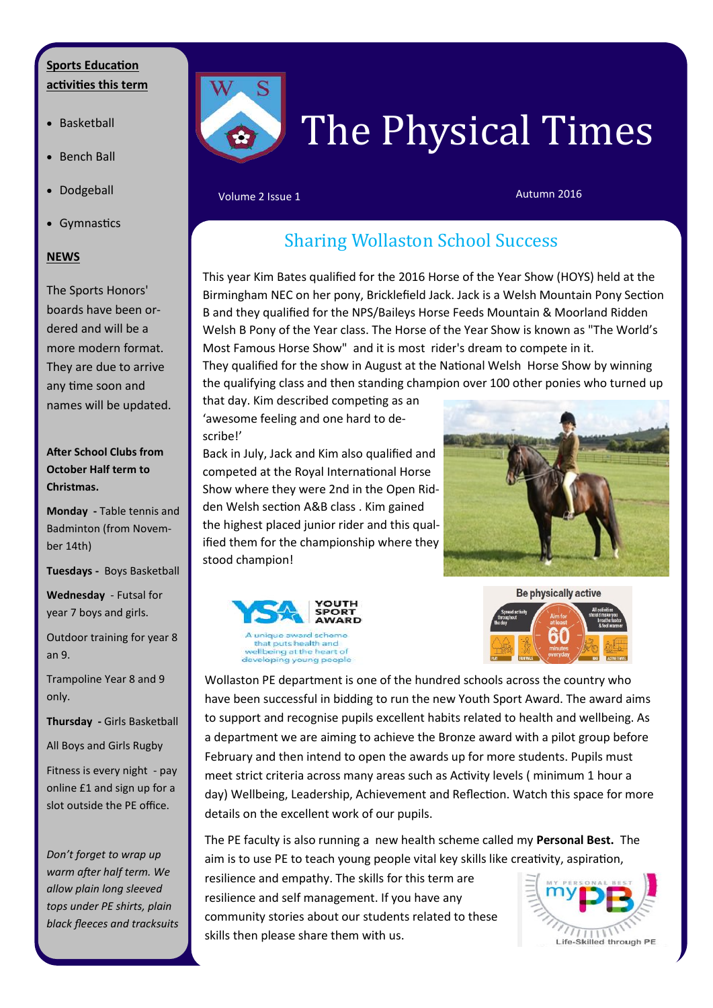#### **Sports Education activities this term** ī

- Basketball
- Bench Ball
- Dodgeball
- Gymnastics

#### **NEWS**

The Sports Honors' boards have been ordered and will be a more modern format. They are due to arrive any time soon and names will be updated.

**After School Clubs from October Half term to Christmas.**

**Monday -** Table tennis and Badminton (from November 14th)

**Tuesdays -** Boys Basketball

**Wednesday** - Futsal for year 7 boys and girls.

Outdoor training for year 8 an 9.

Trampoline Year 8 and 9 only.

**Thursday -** Girls Basketball

All Boys and Girls Rugby

Fitness is every night - pay online £1 and sign up for a slot outside the PE office.

*Don't forget to wrap up warm after half term. We allow plain long sleeved tops under PE shirts, plain black fleeces and tracksuits* 



Į

# The Physical Times

#### Volume 2 Issue 1 Autumn 2016

# Sharing Wollaston School Success

This year Kim Bates qualified for the 2016 Horse of the Year Show (HOYS) held at the Birmingham NEC on her pony, Bricklefield Jack. Jack is a Welsh Mountain Pony Section B and they qualified for the NPS/Baileys Horse Feeds Mountain & Moorland Ridden Welsh B Pony of the Year class. The Horse of the Year Show is known as "The World's Most Famous Horse Show" and it is most rider's dream to compete in it.

They qualified for the show in August at the National Welsh Horse Show by winning the qualifying class and then standing champion over 100 other ponies who turned up

that day. Kim described competing as an 'awesome feeling and one hard to describe!'

Back in July, Jack and Kim also qualified and competed at the Royal International Horse Show where they were 2nd in the Open Ridden Welsh section A&B class . Kim gained the highest placed junior rider and this qualified them for the championship where they stood champion!











Wollaston PE department is one of the hundred schools across the country who have been successful in bidding to run the new Youth Sport Award. The award aims to support and recognise pupils excellent habits related to health and wellbeing. As a department we are aiming to achieve the Bronze award with a pilot group before February and then intend to open the awards up for more students. Pupils must meet strict criteria across many areas such as Activity levels ( minimum 1 hour a day) Wellbeing, Leadership, Achievement and Reflection. Watch this space for more details on the excellent work of our pupils.

The PE faculty is also running a new health scheme called my **Personal Best.** The aim is to use PE to teach young people vital key skills like creativity, aspiration,

resilience and empathy. The skills for this term are resilience and self management. If you have any community stories about our students related to these skills then please share them with us.